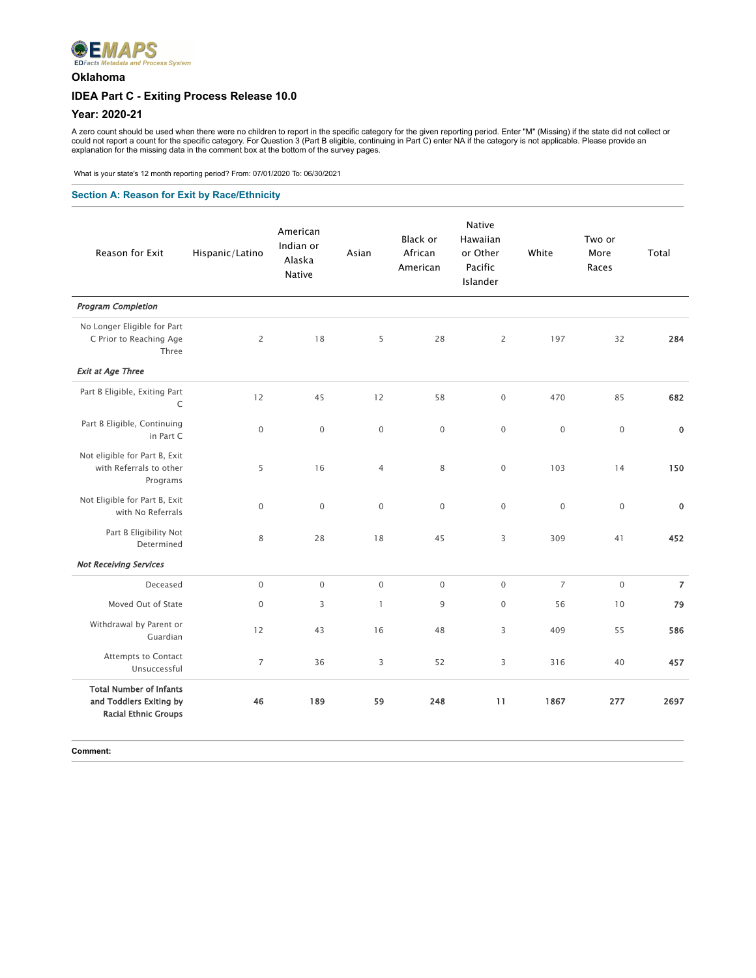

## **Oklahoma**

# **IDEA Part C - Exiting Process Release 10.0**

#### **Year: 2020-21**

A zero count should be used when there were no children to report in the specific category for the given reporting period. Enter "M" (Missing) if the state did not collect or<br>could not report a count for the specific categ

What is your state's 12 month reporting period? From: 07/01/2020 To: 06/30/2021

#### **Section A: Reason for Exit by Race/Ethnicity**

| Reason for Exit                                                                          | Hispanic/Latino     | American<br>Indian or<br>Alaska<br><b>Native</b> | Asian          | Black or<br>African<br>American | <b>Native</b><br>Hawaiian<br>or Other<br>Pacific<br>Islander | White          | Two or<br>More<br>Races | Total          |
|------------------------------------------------------------------------------------------|---------------------|--------------------------------------------------|----------------|---------------------------------|--------------------------------------------------------------|----------------|-------------------------|----------------|
| <b>Program Completion</b>                                                                |                     |                                                  |                |                                 |                                                              |                |                         |                |
| No Longer Eligible for Part<br>C Prior to Reaching Age<br>Three                          | $\overline{2}$      | 18                                               | 5              | 28                              | $\overline{c}$                                               | 197            | 32                      | 284            |
| <b>Exit at Age Three</b>                                                                 |                     |                                                  |                |                                 |                                                              |                |                         |                |
| Part B Eligible, Exiting Part<br>$\mathsf C$                                             | 12                  | 45                                               | 12             | 58                              | $\mathsf{O}\xspace$                                          | 470            | 85                      | 682            |
| Part B Eligible, Continuing<br>in Part C                                                 | $\mathsf{O}\xspace$ | $\mathbf 0$                                      | $\mathbf 0$    | $\mathbf{0}$                    | $\mathsf{O}\xspace$                                          | $\mathbf 0$    | $\mathbf 0$             | $\pmb{0}$      |
| Not eligible for Part B, Exit<br>with Referrals to other<br>Programs                     | 5                   | 16                                               | $\overline{4}$ | 8                               | $\mathsf{O}\xspace$                                          | 103            | 14                      | 150            |
| Not Eligible for Part B, Exit<br>with No Referrals                                       | $\mathbf{0}$        | $\mathbf 0$                                      | $\mathbf 0$    | $\mathbf{0}$                    | $\mathbf 0$                                                  | $\mathbf 0$    | $\mathbf 0$             | $\pmb{0}$      |
| Part B Eligibility Not<br>Determined                                                     | 8                   | 28                                               | 18             | 45                              | 3                                                            | 309            | 41                      | 452            |
| <b>Not Receiving Services</b>                                                            |                     |                                                  |                |                                 |                                                              |                |                         |                |
| Deceased                                                                                 | $\mathbf 0$         | $\mathsf{O}\xspace$                              | $\mathbf 0$    | $\mathbf 0$                     | $\mathbf 0$                                                  | $\overline{7}$ | $\mathbf 0$             | $\overline{7}$ |
| Moved Out of State                                                                       | $\mathbf{0}$        | 3                                                | $\mathbf{1}$   | 9                               | $\mathbf{0}$                                                 | 56             | 10                      | 79             |
| Withdrawal by Parent or<br>Guardian                                                      | 12                  | 43                                               | 16             | 48                              | 3                                                            | 409            | 55                      | 586            |
| Attempts to Contact<br>Unsuccessful                                                      | $\overline{7}$      | 36                                               | 3              | 52                              | 3                                                            | 316            | 40                      | 457            |
| <b>Total Number of Infants</b><br>and Toddlers Exiting by<br><b>Racial Ethnic Groups</b> | 46                  | 189                                              | 59             | 248                             | 11                                                           | 1867           | 277                     | 2697           |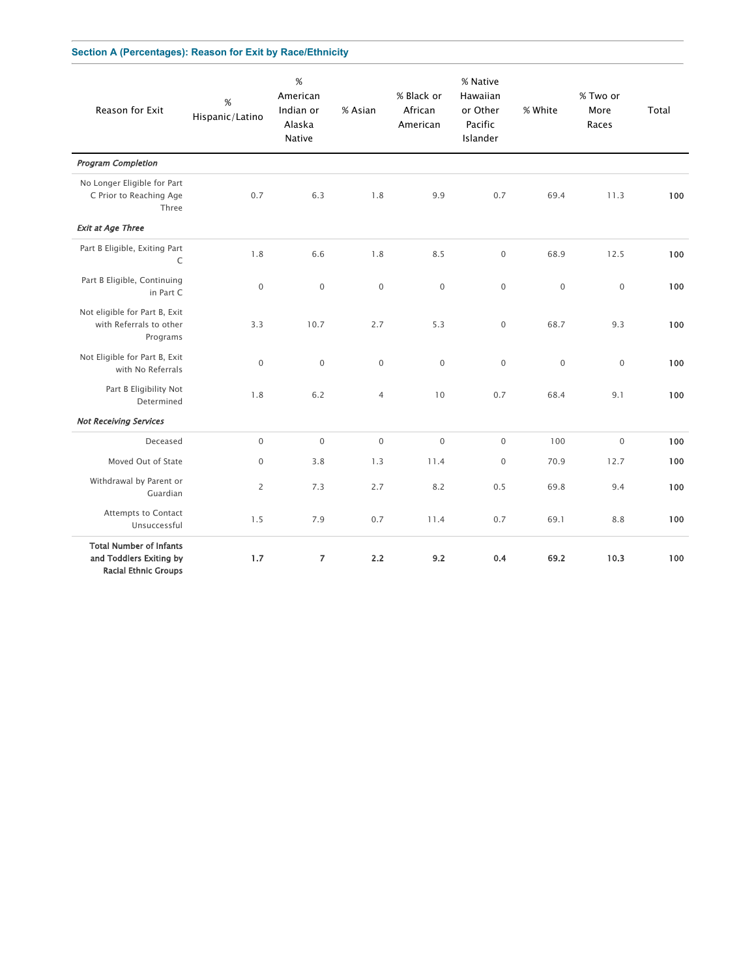### **Section A (Percentages): Reason for Exit by Race/Ethnicity**

| Reason for Exit                                                                          | $\%$<br>Hispanic/Latino | $\%$<br>American<br>Indian or<br>Alaska<br>Native | % Asian        | % Black or<br>African<br>American | % Native<br>Hawaiian<br>or Other<br>Pacific<br>Islander | % White      | % Two or<br>More<br>Races | Total |
|------------------------------------------------------------------------------------------|-------------------------|---------------------------------------------------|----------------|-----------------------------------|---------------------------------------------------------|--------------|---------------------------|-------|
| <b>Program Completion</b>                                                                |                         |                                                   |                |                                   |                                                         |              |                           |       |
| No Longer Eligible for Part<br>C Prior to Reaching Age<br>Three                          | 0.7                     | 6.3                                               | 1.8            | 9.9                               | 0.7                                                     | 69.4         | 11.3                      | 100   |
| <b>Exit at Age Three</b>                                                                 |                         |                                                   |                |                                   |                                                         |              |                           |       |
| Part B Eligible, Exiting Part<br>C                                                       | 1.8                     | 6.6                                               | 1.8            | 8.5                               | $\mathsf{O}\xspace$                                     | 68.9         | 12.5                      | 100   |
| Part B Eligible, Continuing<br>in Part C                                                 | $\mathbf 0$             | $\mathbf 0$                                       | $\mathbf 0$    | $\mathbf 0$                       | $\mathbf 0$                                             | $\mathbf 0$  | $\mathbf 0$               | 100   |
| Not eligible for Part B, Exit<br>with Referrals to other<br>Programs                     | 3.3                     | 10.7                                              | 2.7            | 5.3                               | $\mathbf{0}$                                            | 68.7         | 9.3                       | 100   |
| Not Eligible for Part B, Exit<br>with No Referrals                                       | $\mathbf{0}$            | $\mathbf 0$                                       | $\mathbf{0}$   | $\mathbf 0$                       | $\mathbf 0$                                             | $\mathbf{0}$ | $\mathbf{0}$              | 100   |
| Part B Eligibility Not<br>Determined                                                     | 1.8                     | 6.2                                               | $\overline{4}$ | 10                                | 0.7                                                     | 68.4         | 9.1                       | 100   |
| <b>Not Receiving Services</b>                                                            |                         |                                                   |                |                                   |                                                         |              |                           |       |
| Deceased                                                                                 | $\mathbf{0}$            | $\mathsf 0$                                       | $\mathbf 0$    | $\mathbf 0$                       | $\mathsf{O}\xspace$                                     | 100          | $\mathbf 0$               | 100   |
| Moved Out of State                                                                       | $\mathsf{O}\xspace$     | 3.8                                               | 1.3            | 11.4                              | $\mathbf 0$                                             | 70.9         | 12.7                      | 100   |
| Withdrawal by Parent or<br>Guardian                                                      | $\overline{c}$          | 7.3                                               | 2.7            | 8.2                               | 0.5                                                     | 69.8         | 9.4                       | 100   |
| Attempts to Contact<br>Unsuccessful                                                      | 1.5                     | 7.9                                               | 0.7            | 11.4                              | 0.7                                                     | 69.1         | 8.8                       | 100   |
| <b>Total Number of Infants</b><br>and Toddlers Exiting by<br><b>Racial Ethnic Groups</b> | 1.7                     | $\overline{7}$                                    | 2.2            | 9.2                               | 0.4                                                     | 69.2         | 10.3                      | 100   |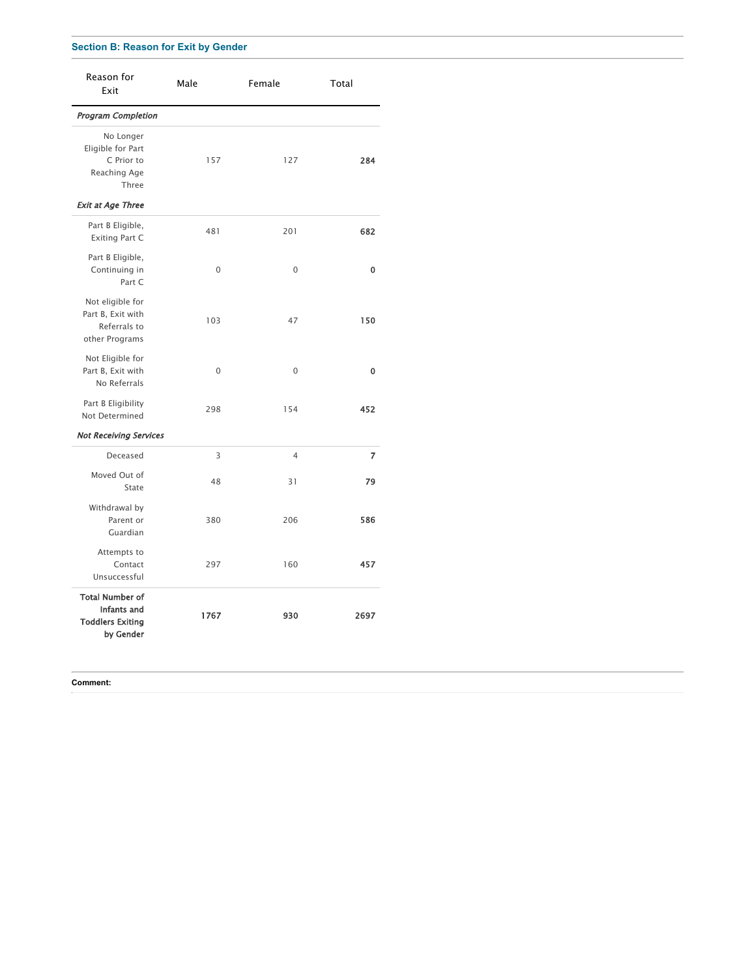### **Section B: Reason for Exit by Gender**

| Reason for<br>Exit                                                            | Male        | Female         | Total |
|-------------------------------------------------------------------------------|-------------|----------------|-------|
| Program Completion                                                            |             |                |       |
| No Longer<br>Eligible for Part<br>C Prior to<br>Reaching Age<br>Three         | 157         | 127            | 284   |
| <b>Exit at Age Three</b>                                                      |             |                |       |
| Part B Eligible,<br><b>Exiting Part C</b>                                     | 481         | 201            | 682   |
| Part B Eligible,<br>Continuing in<br>Part C                                   | $\Omega$    | $\Omega$       | 0     |
| Not eligible for<br>Part B, Exit with<br>Referrals to<br>other Programs       | 103         | 47             | 150   |
| Not Eligible for<br>Part B, Exit with<br>No Referrals                         | $\mathbf 0$ | $\mathbf 0$    | 0     |
| Part B Eligibility<br>Not Determined                                          | 298         | 154            | 452   |
| <b>Not Receiving Services</b>                                                 |             |                |       |
| Deceased                                                                      | 3           | $\overline{4}$ | 7     |
| Moved Out of<br>State                                                         | 48          | 31             | 79    |
| Withdrawal by<br>Parent or<br>Guardian                                        | 380         | 206            | 586   |
| Attempts to<br>Contact<br>Unsuccessful                                        | 297         | 160            | 457   |
| <b>Total Number of</b><br>Infants and<br><b>Toddlers Exiting</b><br>by Gender | 1767        | 930            | 2697  |

#### **Comment:**